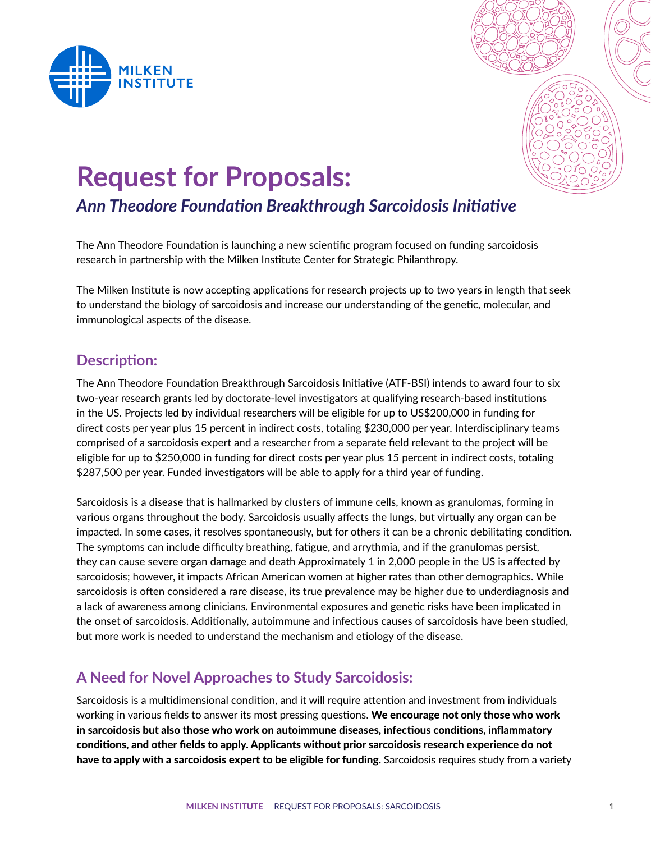



# **Request for Proposals:**

# *Ann Theodore Foundation Breakthrough Sarcoidosis Initiative*

The Ann Theodore Foundation is launching a new scientific program focused on funding sarcoidosis research in partnership with the Milken Institute Center for Strategic Philanthropy.

The Milken Institute is now accepting applications for research projects up to two years in length that seek to understand the biology of sarcoidosis and increase our understanding of the genetic, molecular, and immunological aspects of the disease.

### **Description:**

The Ann Theodore Foundation Breakthrough Sarcoidosis Initiative (ATF-BSI) intends to award four to six two-year research grants led by doctorate-level investigators at qualifying research-based institutions in the US. Projects led by individual researchers will be eligible for up to US\$200,000 in funding for direct costs per year plus 15 percent in indirect costs, totaling \$230,000 per year. Interdisciplinary teams comprised of a sarcoidosis expert and a researcher from a separate field relevant to the project will be eligible for up to \$250,000 in funding for direct costs per year plus 15 percent in indirect costs, totaling \$287,500 per year. Funded investigators will be able to apply for a third year of funding.

Sarcoidosis is a disease that is hallmarked by clusters of immune cells, known as granulomas, forming in various organs throughout the body. Sarcoidosis usually affects the lungs, but virtually any organ can be impacted. In some cases, it resolves spontaneously, but for others it can be a chronic debilitating condition. The symptoms can include difficulty breathing, fatigue, and arrythmia, and if the granulomas persist, they can cause severe organ damage and death Approximately 1 in 2,000 people in the US is affected by sarcoidosis; however, it impacts African American women at higher rates than other demographics. While sarcoidosis is often considered a rare disease, its true prevalence may be higher due to underdiagnosis and a lack of awareness among clinicians. Environmental exposures and genetic risks have been implicated in the onset of sarcoidosis. Additionally, autoimmune and infectious causes of sarcoidosis have been studied, but more work is needed to understand the mechanism and etiology of the disease.

# **A Need for Novel Approaches to Study Sarcoidosis:**

Sarcoidosis is a multidimensional condition, and it will require attention and investment from individuals working in various fields to answer its most pressing questions. We encourage not only those who work in sarcoidosis but also those who work on autoimmune diseases, infectious conditions, inflammatory conditions, and other fields to apply. Applicants without prior sarcoidosis research experience do not have to apply with a sarcoidosis expert to be eligible for funding. Sarcoidosis requires study from a variety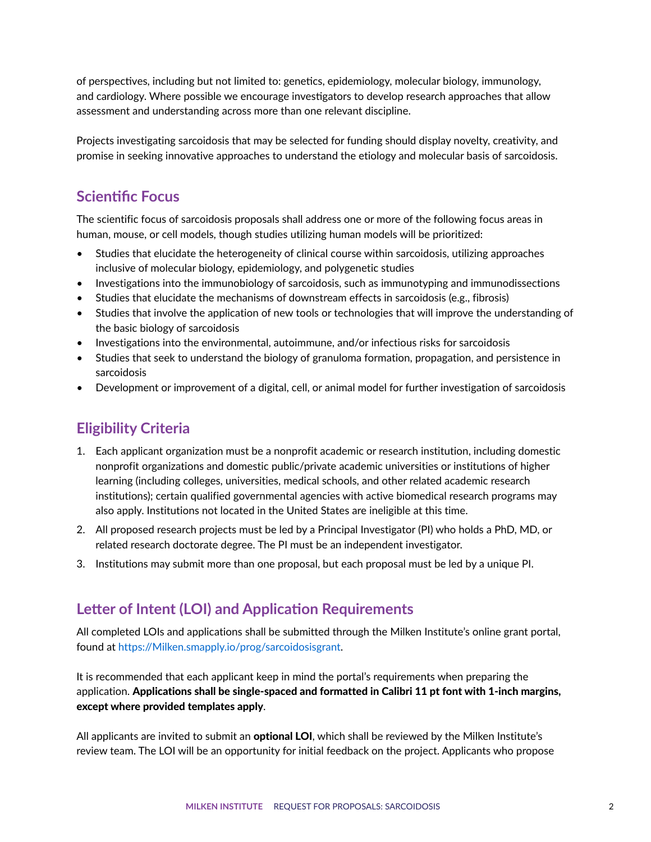of perspectives, including but not limited to: genetics, epidemiology, molecular biology, immunology, and cardiology. Where possible we encourage investigators to develop research approaches that allow assessment and understanding across more than one relevant discipline.

Projects investigating sarcoidosis that may be selected for funding should display novelty, creativity, and promise in seeking innovative approaches to understand the etiology and molecular basis of sarcoidosis.

## **Scientific Focus**

The scientific focus of sarcoidosis proposals shall address one or more of the following focus areas in human, mouse, or cell models, though studies utilizing human models will be prioritized:

- Studies that elucidate the heterogeneity of clinical course within sarcoidosis, utilizing approaches inclusive of molecular biology, epidemiology, and polygenetic studies
- Investigations into the immunobiology of sarcoidosis, such as immunotyping and immunodissections
- Studies that elucidate the mechanisms of downstream effects in sarcoidosis (e.g., fibrosis)
- Studies that involve the application of new tools or technologies that will improve the understanding of the basic biology of sarcoidosis
- Investigations into the environmental, autoimmune, and/or infectious risks for sarcoidosis
- Studies that seek to understand the biology of granuloma formation, propagation, and persistence in sarcoidosis
- Development or improvement of a digital, cell, or animal model for further investigation of sarcoidosis

# **Eligibility Criteria**

- 1. Each applicant organization must be a nonprofit academic or research institution, including domestic nonprofit organizations and domestic public/private academic universities or institutions of higher learning (including colleges, universities, medical schools, and other related academic research institutions); certain qualified governmental agencies with active biomedical research programs may also apply. Institutions not located in the United States are ineligible at this time.
- 2. All proposed research projects must be led by a Principal Investigator (PI) who holds a PhD, MD, or related research doctorate degree. The PI must be an independent investigator.
- 3. Institutions may submit more than one proposal, but each proposal must be led by a unique PI.

# **Letter of Intent (LOI) and Application Requirements**

All completed LOIs and applications shall be submitted through the Milken Institute's online grant portal, found at<https://Milken.smapply.io/prog/sarcoidosisgrant>.

It is recommended that each applicant keep in mind the portal's requirements when preparing the application. Applications shall be single-spaced and formatted in Calibri 11 pt font with 1-inch margins, except where provided templates apply.

All applicants are invited to submit an optional LOI, which shall be reviewed by the Milken Institute's review team. The LOI will be an opportunity for initial feedback on the project. Applicants who propose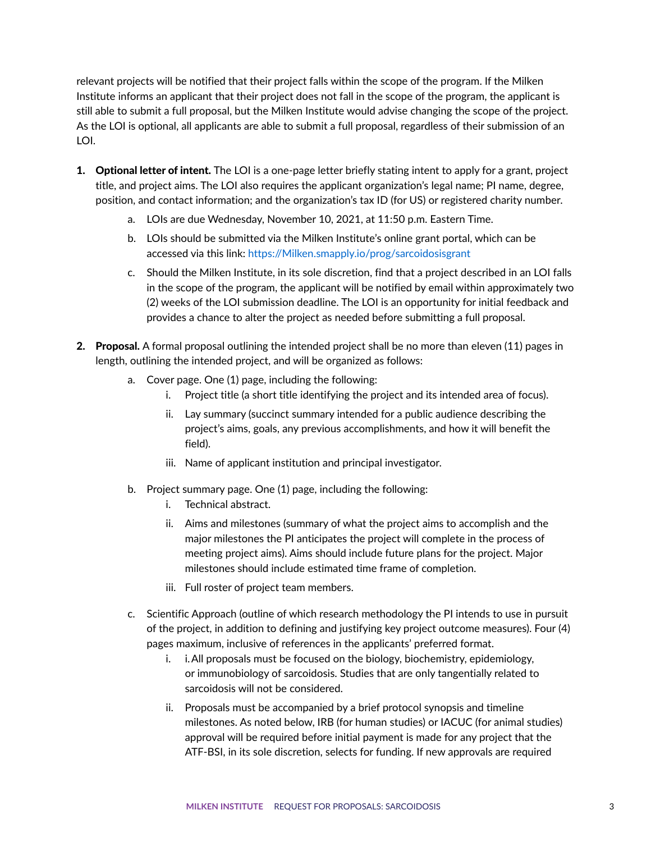relevant projects will be notified that their project falls within the scope of the program. If the Milken Institute informs an applicant that their project does not fall in the scope of the program, the applicant is still able to submit a full proposal, but the Milken Institute would advise changing the scope of the project. As the LOI is optional, all applicants are able to submit a full proposal, regardless of their submission of an LOI.

- **1.** Optional letter of intent. The LOI is a one-page letter briefly stating intent to apply for a grant, project title, and project aims. The LOI also requires the applicant organization's legal name; PI name, degree, position, and contact information; and the organization's tax ID (for US) or registered charity number.
	- a. LOIs are due Wednesday, November 10, 2021, at 11:50 p.m. Eastern Time.
	- b. LOIs should be submitted via the Milken Institute's online grant portal, which can be accessed via this link: <https://Milken.smapply.io/prog/sarcoidosisgrant>
	- c. Should the Milken Institute, in its sole discretion, find that a project described in an LOI falls in the scope of the program, the applicant will be notified by email within approximately two (2) weeks of the LOI submission deadline. The LOI is an opportunity for initial feedback and provides a chance to alter the project as needed before submitting a full proposal.
- 2. Proposal. A formal proposal outlining the intended project shall be no more than eleven (11) pages in length, outlining the intended project, and will be organized as follows:
	- a. Cover page. One (1) page, including the following:
		- i. Project title (a short title identifying the project and its intended area of focus).
		- ii. Lay summary (succinct summary intended for a public audience describing the project's aims, goals, any previous accomplishments, and how it will benefit the field).
		- iii. Name of applicant institution and principal investigator.
	- b. Project summary page. One (1) page, including the following:
		- i. Technical abstract.
		- ii. Aims and milestones (summary of what the project aims to accomplish and the major milestones the PI anticipates the project will complete in the process of meeting project aims). Aims should include future plans for the project. Major milestones should include estimated time frame of completion.
		- iii. Full roster of project team members.
	- c. Scientific Approach (outline of which research methodology the PI intends to use in pursuit of the project, in addition to defining and justifying key project outcome measures). Four (4) pages maximum, inclusive of references in the applicants' preferred format.
		- i. i.All proposals must be focused on the biology, biochemistry, epidemiology, or immunobiology of sarcoidosis. Studies that are only tangentially related to sarcoidosis will not be considered.
		- ii. Proposals must be accompanied by a brief protocol synopsis and timeline milestones. As noted below, IRB (for human studies) or IACUC (for animal studies) approval will be required before initial payment is made for any project that the ATF-BSI, in its sole discretion, selects for funding. If new approvals are required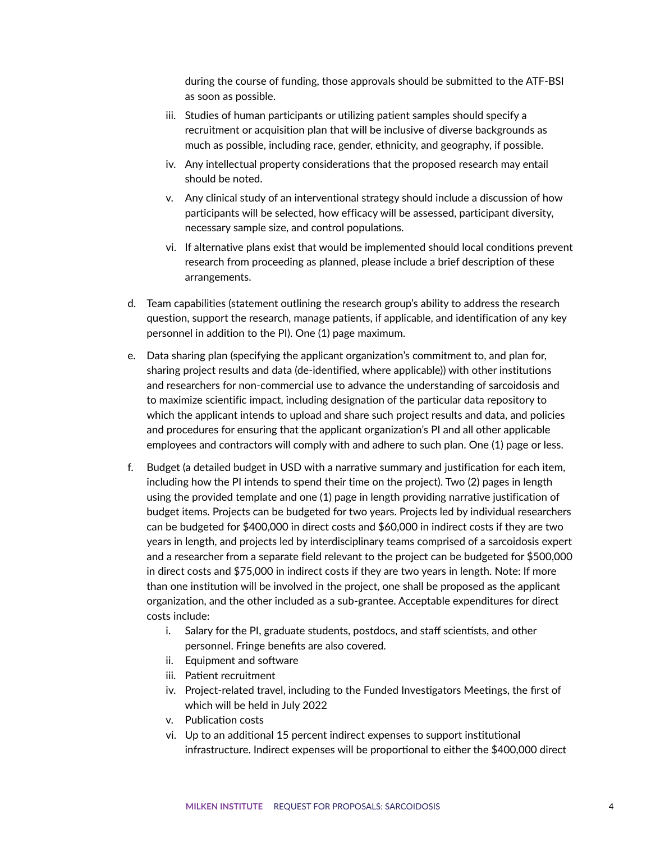during the course of funding, those approvals should be submitted to the ATF-BSI as soon as possible.

- iii. Studies of human participants or utilizing patient samples should specify a recruitment or acquisition plan that will be inclusive of diverse backgrounds as much as possible, including race, gender, ethnicity, and geography, if possible.
- iv. Any intellectual property considerations that the proposed research may entail should be noted.
- v. Any clinical study of an interventional strategy should include a discussion of how participants will be selected, how efficacy will be assessed, participant diversity, necessary sample size, and control populations.
- vi. If alternative plans exist that would be implemented should local conditions prevent research from proceeding as planned, please include a brief description of these arrangements.
- d. Team capabilities (statement outlining the research group's ability to address the research question, support the research, manage patients, if applicable, and identification of any key personnel in addition to the PI). One (1) page maximum.
- e. Data sharing plan (specifying the applicant organization's commitment to, and plan for, sharing project results and data (de-identified, where applicable)) with other institutions and researchers for non-commercial use to advance the understanding of sarcoidosis and to maximize scientific impact, including designation of the particular data repository to which the applicant intends to upload and share such project results and data, and policies and procedures for ensuring that the applicant organization's PI and all other applicable employees and contractors will comply with and adhere to such plan. One (1) page or less.
- f. Budget (a detailed budget in USD with a narrative summary and justification for each item, including how the PI intends to spend their time on the project). Two (2) pages in length using the provided template and one (1) page in length providing narrative justification of budget items. Projects can be budgeted for two years. Projects led by individual researchers can be budgeted for \$400,000 in direct costs and \$60,000 in indirect costs if they are two years in length, and projects led by interdisciplinary teams comprised of a sarcoidosis expert and a researcher from a separate field relevant to the project can be budgeted for \$500,000 in direct costs and \$75,000 in indirect costs if they are two years in length. Note: If more than one institution will be involved in the project, one shall be proposed as the applicant organization, and the other included as a sub-grantee. Acceptable expenditures for direct costs include:
	- i. Salary for the PI, graduate students, postdocs, and staff scientists, and other personnel. Fringe benefits are also covered.
	- ii. Equipment and software
	- iii. Patient recruitment
	- iv. Project-related travel, including to the Funded Investigators Meetings, the first of which will be held in July 2022
	- v. Publication costs
	- vi. Up to an additional 15 percent indirect expenses to support institutional infrastructure. Indirect expenses will be proportional to either the \$400,000 direct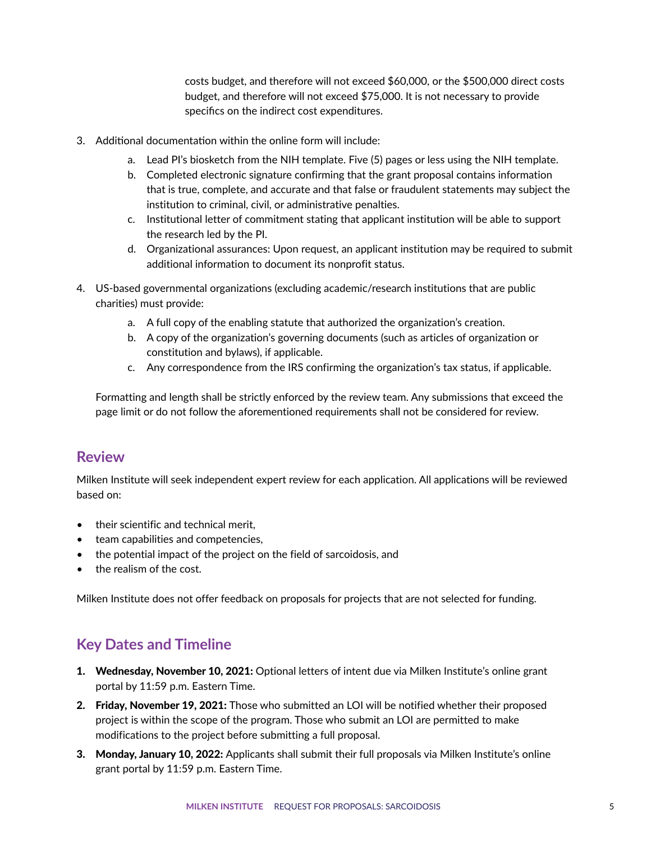costs budget, and therefore will not exceed \$60,000, or the \$500,000 direct costs budget, and therefore will not exceed \$75,000. It is not necessary to provide specifics on the indirect cost expenditures.

- 3. Additional documentation within the online form will include:
	- a. Lead PI's biosketch from the NIH template. Five (5) pages or less using the NIH template.
	- b. Completed electronic signature confirming that the grant proposal contains information that is true, complete, and accurate and that false or fraudulent statements may subject the institution to criminal, civil, or administrative penalties.
	- c. Institutional letter of commitment stating that applicant institution will be able to support the research led by the PI.
	- d. Organizational assurances: Upon request, an applicant institution may be required to submit additional information to document its nonprofit status.
- 4. US-based governmental organizations (excluding academic/research institutions that are public charities) must provide:
	- a. A full copy of the enabling statute that authorized the organization's creation.
	- b. A copy of the organization's governing documents (such as articles of organization or constitution and bylaws), if applicable.
	- c. Any correspondence from the IRS confirming the organization's tax status, if applicable.

Formatting and length shall be strictly enforced by the review team. Any submissions that exceed the page limit or do not follow the aforementioned requirements shall not be considered for review.

#### **Review**

Milken Institute will seek independent expert review for each application. All applications will be reviewed based on:

- their scientific and technical merit,
- team capabilities and competencies,
- the potential impact of the project on the field of sarcoidosis, and
- the realism of the cost.

Milken Institute does not offer feedback on proposals for projects that are not selected for funding.

## **Key Dates and Timeline**

- 1. Wednesday, November 10, 2021: Optional letters of intent due via Milken Institute's online grant portal by 11:59 p.m. Eastern Time.
- 2. Friday, November 19, 2021: Those who submitted an LOI will be notified whether their proposed project is within the scope of the program. Those who submit an LOI are permitted to make modifications to the project before submitting a full proposal.
- 3. Monday, January 10, 2022: Applicants shall submit their full proposals via Milken Institute's online grant portal by 11:59 p.m. Eastern Time.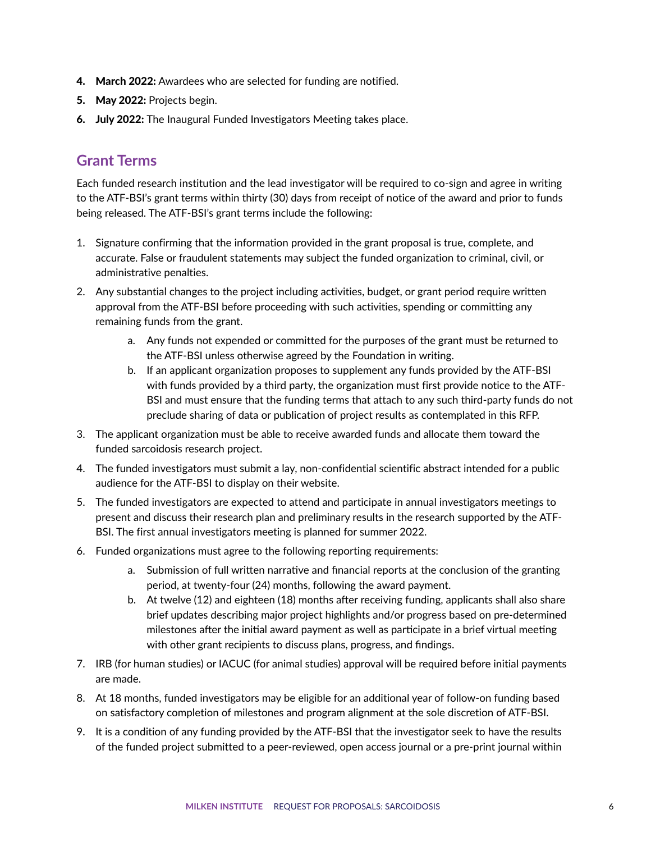- 4. March 2022: Awardees who are selected for funding are notified.
- 5. May 2022: Projects begin.
- 6. July 2022: The Inaugural Funded Investigators Meeting takes place.

#### **Grant Terms**

Each funded research institution and the lead investigator will be required to co-sign and agree in writing to the ATF-BSI's grant terms within thirty (30) days from receipt of notice of the award and prior to funds being released. The ATF-BSI's grant terms include the following:

- 1. Signature confirming that the information provided in the grant proposal is true, complete, and accurate. False or fraudulent statements may subject the funded organization to criminal, civil, or administrative penalties.
- 2. Any substantial changes to the project including activities, budget, or grant period require written approval from the ATF-BSI before proceeding with such activities, spending or committing any remaining funds from the grant.
	- a. Any funds not expended or committed for the purposes of the grant must be returned to the ATF-BSI unless otherwise agreed by the Foundation in writing.
	- b. If an applicant organization proposes to supplement any funds provided by the ATF-BSI with funds provided by a third party, the organization must first provide notice to the ATF-BSI and must ensure that the funding terms that attach to any such third-party funds do not preclude sharing of data or publication of project results as contemplated in this RFP.
- 3. The applicant organization must be able to receive awarded funds and allocate them toward the funded sarcoidosis research project.
- 4. The funded investigators must submit a lay, non-confidential scientific abstract intended for a public audience for the ATF-BSI to display on their website.
- 5. The funded investigators are expected to attend and participate in annual investigators meetings to present and discuss their research plan and preliminary results in the research supported by the ATF-BSI. The first annual investigators meeting is planned for summer 2022.
- 6. Funded organizations must agree to the following reporting requirements:
	- a. Submission of full written narrative and financial reports at the conclusion of the granting period, at twenty-four (24) months, following the award payment.
	- b. At twelve (12) and eighteen (18) months after receiving funding, applicants shall also share brief updates describing major project highlights and/or progress based on pre-determined milestones after the initial award payment as well as participate in a brief virtual meeting with other grant recipients to discuss plans, progress, and findings.
- 7. IRB (for human studies) or IACUC (for animal studies) approval will be required before initial payments are made.
- 8. At 18 months, funded investigators may be eligible for an additional year of follow-on funding based on satisfactory completion of milestones and program alignment at the sole discretion of ATF-BSI.
- 9. It is a condition of any funding provided by the ATF-BSI that the investigator seek to have the results of the funded project submitted to a peer-reviewed, open access journal or a pre-print journal within